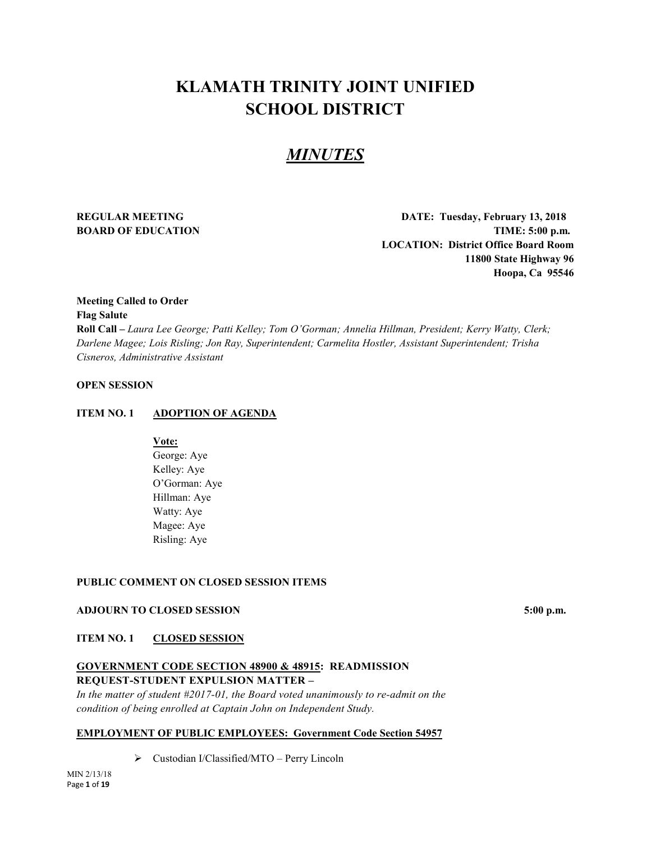# **KLAMATH TRINITY JOINT UNIFIED SCHOOL DISTRICT**

# *MINUTES*

**REGULAR MEETING DATE: Tuesday, February 13, 2018 BOARD OF EDUCATION TIME:** 5:00 p.m. **LOCATION: District Office Board Room 11800 State Highway 96 Hoopa, Ca 95546**

# **Meeting Called to Order Flag Salute**

**Roll Call –** *Laura Lee George; Patti Kelley; Tom O'Gorman; Annelia Hillman, President; Kerry Watty, Clerk; Darlene Magee; Lois Risling; Jon Ray, Superintendent; Carmelita Hostler, Assistant Superintendent; Trisha Cisneros, Administrative Assistant*

# **OPEN SESSION**

# **ITEM NO. 1 ADOPTION OF AGENDA**

**Vote:**

George: Aye Kelley: Aye O'Gorman: Aye Hillman: Aye Watty: Aye Magee: Aye Risling: Aye

# **PUBLIC COMMENT ON CLOSED SESSION ITEMS**

# **ADJOURN TO CLOSED SESSION** 5:00 p.m.

**ITEM NO. 1 CLOSED SESSION**

# **GOVERNMENT CODE SECTION 48900 & 48915: READMISSION REQUEST-STUDENT EXPULSION MATTER –**

*In the matter of student #2017-01, the Board voted unanimously to re-admit on the condition of being enrolled at Captain John on Independent Study.*

# **EMPLOYMENT OF PUBLIC EMPLOYEES: Government Code Section 54957**

Custodian I/Classified/MTO – Perry Lincoln

MIN 2/13/18 Page **1** of **19**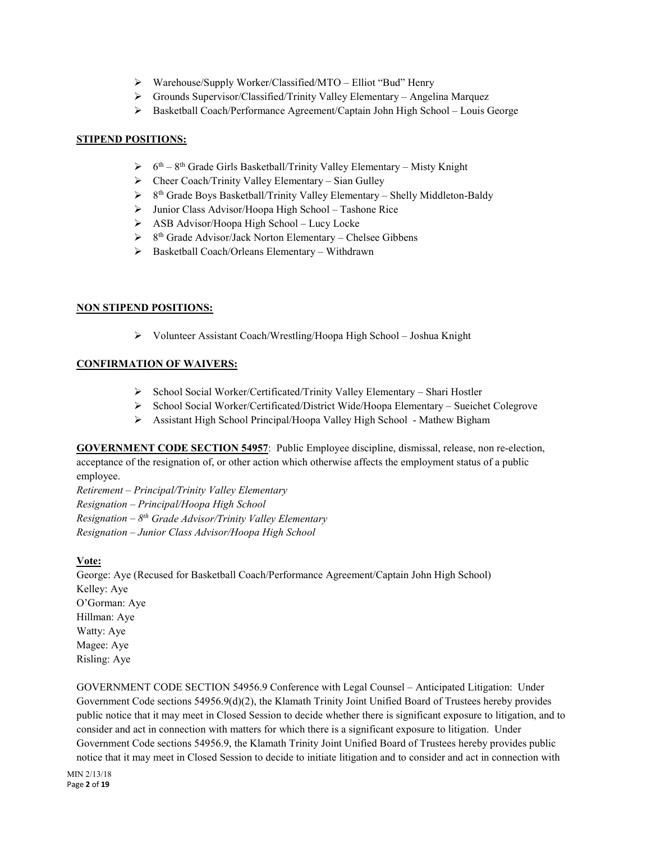- Warehouse/Supply Worker/Classified/MTO Elliot "Bud" Henry
- Grounds Supervisor/Classified/Trinity Valley Elementary Angelina Marquez
- Basketball Coach/Performance Agreement/Captain John High School Louis George

# **STIPEND POSITIONS:**

- $6th 8th$  Grade Girls Basketball/Trinity Valley Elementary Misty Knight
- $\triangleright$  Cheer Coach/Trinity Valley Elementary Sian Gulley
- $8<sup>th</sup>$  Grade Boys Basketball/Trinity Valley Elementary Shelly Middleton-Baldy
- Junior Class Advisor/Hoopa High School Tashone Rice
- $\triangleright$  ASB Advisor/Hoopa High School Lucy Locke
- $\triangleright$  8<sup>th</sup> Grade Advisor/Jack Norton Elementary Chelsee Gibbens
- Basketball Coach/Orleans Elementary Withdrawn

# **NON STIPEND POSITIONS:**

Volunteer Assistant Coach/Wrestling/Hoopa High School – Joshua Knight

# **CONFIRMATION OF WAIVERS:**

- School Social Worker/Certificated/Trinity Valley Elementary Shari Hostler
- School Social Worker/Certificated/District Wide/Hoopa Elementary Sueichet Colegrove
- Assistant High School Principal/Hoopa Valley High School Mathew Bigham

**GOVERNMENT CODE SECTION 54957**: Public Employee discipline, dismissal, release, non re-election, acceptance of the resignation of, or other action which otherwise affects the employment status of a public employee.

*Retirement – Principal/Trinity Valley Elementary Resignation – Principal/Hoopa High School Resignation – 8th Grade Advisor/Trinity Valley Elementary Resignation – Junior Class Advisor/Hoopa High School*

**Vote:**

George: Aye (Recused for Basketball Coach/Performance Agreement/Captain John High School) Kelley: Aye O'Gorman: Aye Hillman: Aye Watty: Aye Magee: Aye Risling: Aye

GOVERNMENT CODE SECTION 54956.9 Conference with Legal Counsel – Anticipated Litigation: Under Government Code sections 54956.9(d)(2), the Klamath Trinity Joint Unified Board of Trustees hereby provides public notice that it may meet in Closed Session to decide whether there is significant exposure to litigation, and to consider and act in connection with matters for which there is a significant exposure to litigation. Under Government Code sections 54956.9, the Klamath Trinity Joint Unified Board of Trustees hereby provides public notice that it may meet in Closed Session to decide to initiate litigation and to consider and act in connection with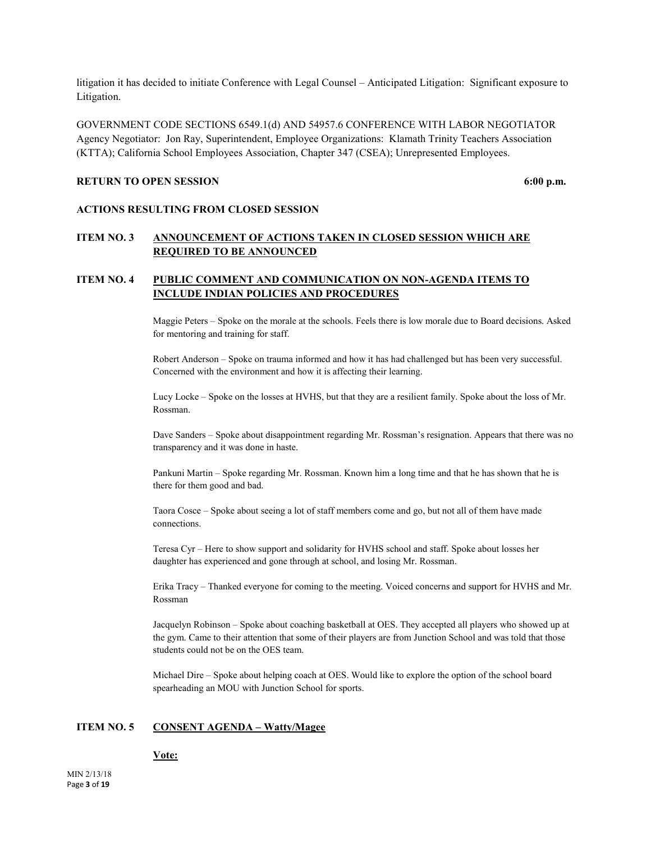litigation it has decided to initiate Conference with Legal Counsel – Anticipated Litigation: Significant exposure to Litigation.

GOVERNMENT CODE SECTIONS 6549.1(d) AND 54957.6 CONFERENCE WITH LABOR NEGOTIATOR Agency Negotiator: Jon Ray, Superintendent, Employee Organizations: Klamath Trinity Teachers Association (KTTA); California School Employees Association, Chapter 347 (CSEA); Unrepresented Employees.

#### **RETURN TO OPEN SESSION** 6:00 p.m.

#### **ACTIONS RESULTING FROM CLOSED SESSION**

# **ITEM NO. 3 ANNOUNCEMENT OF ACTIONS TAKEN IN CLOSED SESSION WHICH ARE REQUIRED TO BE ANNOUNCED**

# **ITEM NO. 4 PUBLIC COMMENT AND COMMUNICATION ON NON-AGENDA ITEMS TO INCLUDE INDIAN POLICIES AND PROCEDURES**

Maggie Peters – Spoke on the morale at the schools. Feels there is low morale due to Board decisions. Asked for mentoring and training for staff.

Robert Anderson – Spoke on trauma informed and how it has had challenged but has been very successful. Concerned with the environment and how it is affecting their learning.

Lucy Locke – Spoke on the losses at HVHS, but that they are a resilient family. Spoke about the loss of Mr. Rossman.

Dave Sanders – Spoke about disappointment regarding Mr. Rossman's resignation. Appears that there was no transparency and it was done in haste.

Pankuni Martin – Spoke regarding Mr. Rossman. Known him a long time and that he has shown that he is there for them good and bad.

Taora Cosce – Spoke about seeing a lot of staff members come and go, but not all of them have made connections.

Teresa Cyr – Here to show support and solidarity for HVHS school and staff. Spoke about losses her daughter has experienced and gone through at school, and losing Mr. Rossman.

Erika Tracy – Thanked everyone for coming to the meeting. Voiced concerns and support for HVHS and Mr. Rossman

Jacquelyn Robinson – Spoke about coaching basketball at OES. They accepted all players who showed up at the gym. Came to their attention that some of their players are from Junction School and was told that those students could not be on the OES team.

Michael Dire – Spoke about helping coach at OES. Would like to explore the option of the school board spearheading an MOU with Junction School for sports.

#### **ITEM NO. 5 CONSENT AGENDA – Watty/Magee**

#### **Vote:**

MIN 2/13/18 Page **3** of **19**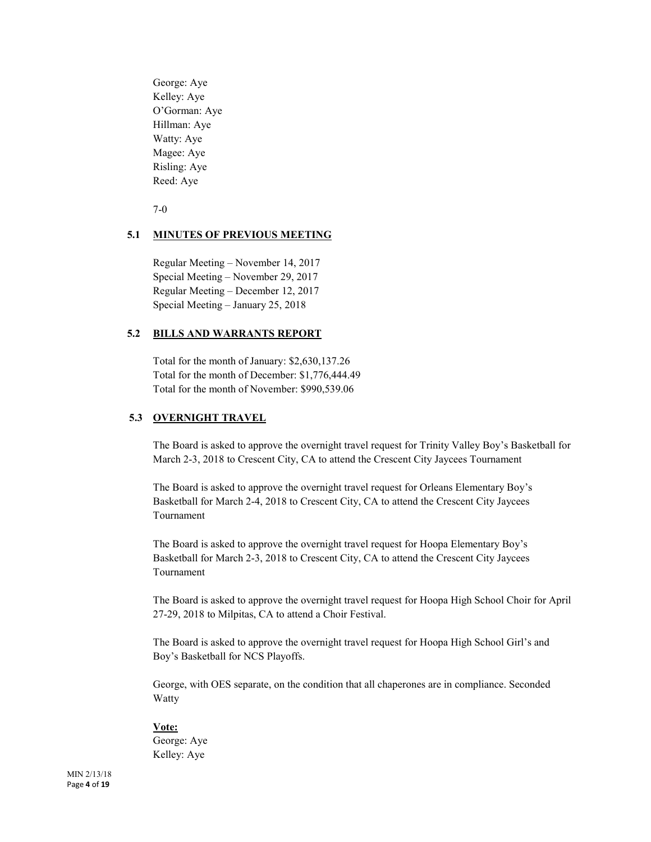George: Aye Kelley: Aye O'Gorman: Aye Hillman: Aye Watty: Aye Magee: Aye Risling: Aye Reed: Aye

7-0

#### **5.1 MINUTES OF PREVIOUS MEETING**

Regular Meeting – November 14, 2017 Special Meeting – November 29, 2017 Regular Meeting – December 12, 2017 Special Meeting – January 25, 2018

# **5.2 BILLS AND WARRANTS REPORT**

Total for the month of January: \$2,630,137.26 Total for the month of December: \$1,776,444.49 Total for the month of November: \$990,539.06

#### **5.3 OVERNIGHT TRAVEL**

The Board is asked to approve the overnight travel request for Trinity Valley Boy's Basketball for March 2-3, 2018 to Crescent City, CA to attend the Crescent City Jaycees Tournament

The Board is asked to approve the overnight travel request for Orleans Elementary Boy's Basketball for March 2-4, 2018 to Crescent City, CA to attend the Crescent City Jaycees Tournament

The Board is asked to approve the overnight travel request for Hoopa Elementary Boy's Basketball for March 2-3, 2018 to Crescent City, CA to attend the Crescent City Jaycees Tournament

The Board is asked to approve the overnight travel request for Hoopa High School Choir for April 27-29, 2018 to Milpitas, CA to attend a Choir Festival.

The Board is asked to approve the overnight travel request for Hoopa High School Girl's and Boy's Basketball for NCS Playoffs.

George, with OES separate, on the condition that all chaperones are in compliance. Seconded **Watty** 

#### **Vote:**

George: Aye Kelley: Aye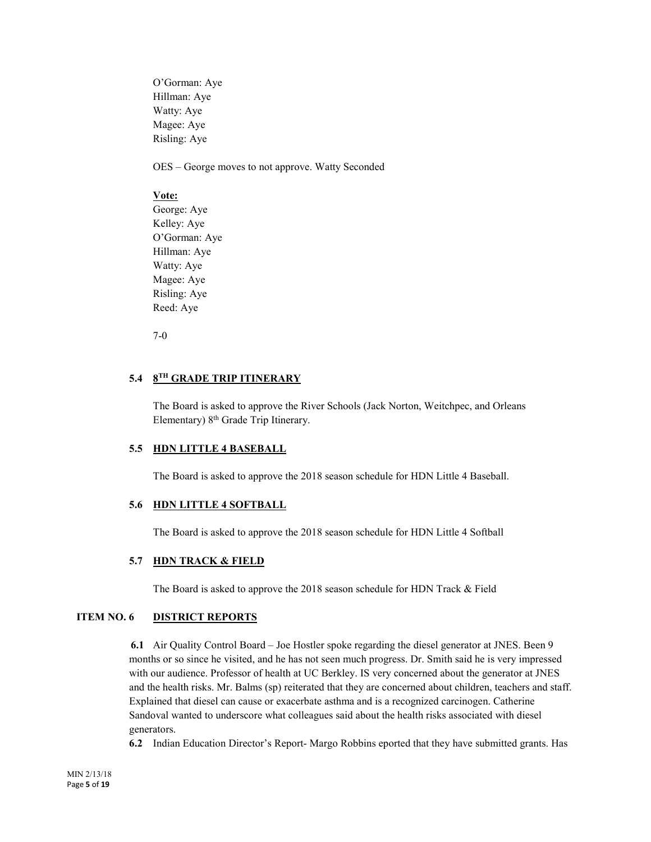O'Gorman: Aye Hillman: Aye Watty: Aye Magee: Aye Risling: Aye

OES – George moves to not approve. Watty Seconded

# **Vote:**

George: Aye Kelley: Aye O'Gorman: Aye Hillman: Aye Watty: Aye Magee: Aye Risling: Aye Reed: Aye

7-0

# **5.4 8TH GRADE TRIP ITINERARY**

The Board is asked to approve the River Schools (Jack Norton, Weitchpec, and Orleans Elementary) 8<sup>th</sup> Grade Trip Itinerary.

# **5.5 HDN LITTLE 4 BASEBALL**

The Board is asked to approve the 2018 season schedule for HDN Little 4 Baseball.

# **5.6 HDN LITTLE 4 SOFTBALL**

The Board is asked to approve the 2018 season schedule for HDN Little 4 Softball

# **5.7 HDN TRACK & FIELD**

The Board is asked to approve the 2018 season schedule for HDN Track & Field

# **ITEM NO. 6 DISTRICT REPORTS**

 **6.1** Air Quality Control Board – Joe Hostler spoke regarding the diesel generator at JNES. Been 9 months or so since he visited, and he has not seen much progress. Dr. Smith said he is very impressed with our audience. Professor of health at UC Berkley. IS very concerned about the generator at JNES and the health risks. Mr. Balms (sp) reiterated that they are concerned about children, teachers and staff. Explained that diesel can cause or exacerbate asthma and is a recognized carcinogen. Catherine Sandoval wanted to underscore what colleagues said about the health risks associated with diesel generators.

**6.2** Indian Education Director's Report- Margo Robbins eported that they have submitted grants. Has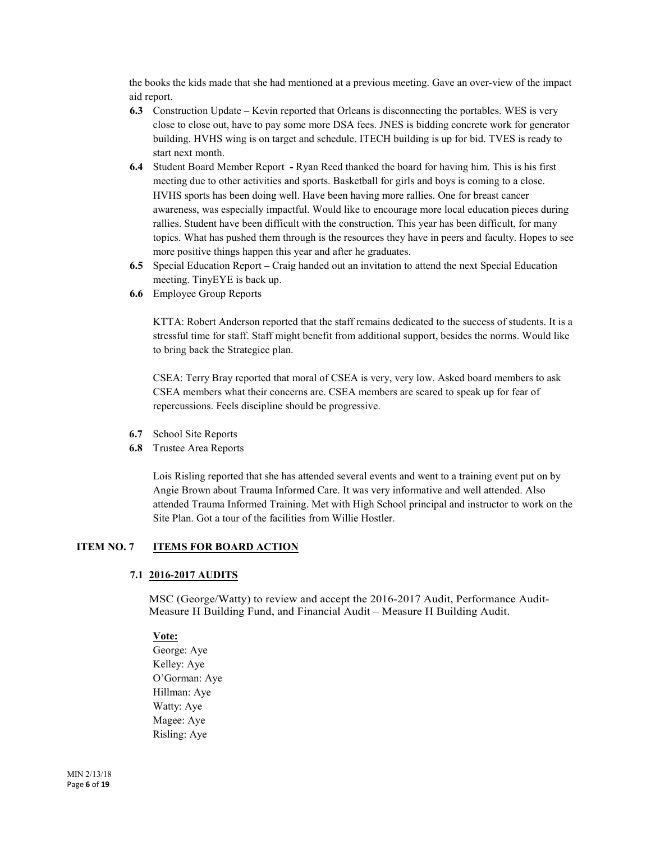the books the kids made that she had mentioned at a previous meeting. Gave an over-view of the impact aid report.

- **6.3** Construction Update Kevin reported that Orleans is disconnecting the portables. WES is very close to close out, have to pay some more DSA fees. JNES is bidding concrete work for generator building. HVHS wing is on target and schedule. ITECH building is up for bid. TVES is ready to start next month.
- **6.4** Student Board Member Report **-** Ryan Reed thanked the board for having him. This is his first meeting due to other activities and sports. Basketball for girls and boys is coming to a close. HVHS sports has been doing well. Have been having more rallies. One for breast cancer awareness, was especially impactful. Would like to encourage more local education pieces during rallies. Student have been difficult with the construction. This year has been difficult, for many topics. What has pushed them through is the resources they have in peers and faculty. Hopes to see more positive things happen this year and after he graduates.
- **6.5** Special Education Report **–** Craig handed out an invitation to attend the next Special Education meeting. TinyEYE is back up.
- **6.6** Employee Group Reports

KTTA: Robert Anderson reported that the staff remains dedicated to the success of students. It is a stressful time for staff. Staff might benefit from additional support, besides the norms. Would like to bring back the Strategiec plan.

CSEA: Terry Bray reported that moral of CSEA is very, very low. Asked board members to ask CSEA members what their concerns are. CSEA members are scared to speak up for fear of repercussions. Feels discipline should be progressive.

- **6.7** School Site Reports
- **6.8** Trustee Area Reports

Lois Risling reported that she has attended several events and went to a training event put on by Angie Brown about Trauma Informed Care. It was very informative and well attended. Also attended Trauma Informed Training. Met with High School principal and instructor to work on the Site Plan. Got a tour of the facilities from Willie Hostler.

# **ITEM NO. 7 ITEMS FOR BOARD ACTION**

#### **7.1 2016-2017 AUDITS**

MSC (George/Watty) to review and accept the 2016-2017 Audit, Performance Audit-Measure H Building Fund, and Financial Audit – Measure H Building Audit.

#### **Vote:**

George: Aye Kelley: Aye O'Gorman: Aye Hillman: Aye Watty: Aye Magee: Aye Risling: Aye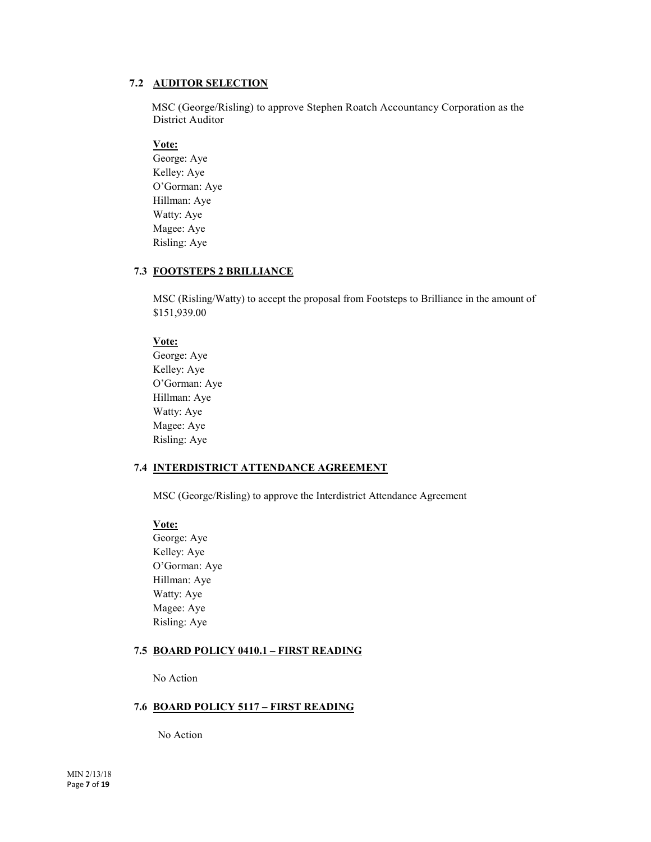# **7.2 AUDITOR SELECTION**

MSC (George/Risling) to approve Stephen Roatch Accountancy Corporation as the District Auditor

# **Vote:**

George: Aye Kelley: Aye O'Gorman: Aye Hillman: Aye Watty: Aye Magee: Aye Risling: Aye

# **7.3 FOOTSTEPS 2 BRILLIANCE**

MSC (Risling/Watty) to accept the proposal from Footsteps to Brilliance in the amount of \$151,939.00

# **Vote:**

George: Aye Kelley: Aye O'Gorman: Aye Hillman: Aye Watty: Aye Magee: Aye Risling: Aye

# **7.4 INTERDISTRICT ATTENDANCE AGREEMENT**

MSC (George/Risling) to approve the Interdistrict Attendance Agreement

# **Vote:**

George: Aye Kelley: Aye O'Gorman: Aye Hillman: Aye Watty: Aye Magee: Aye Risling: Aye

# **7.5 BOARD POLICY 0410.1 – FIRST READING**

No Action

# **7.6 BOARD POLICY 5117 – FIRST READING**

No Action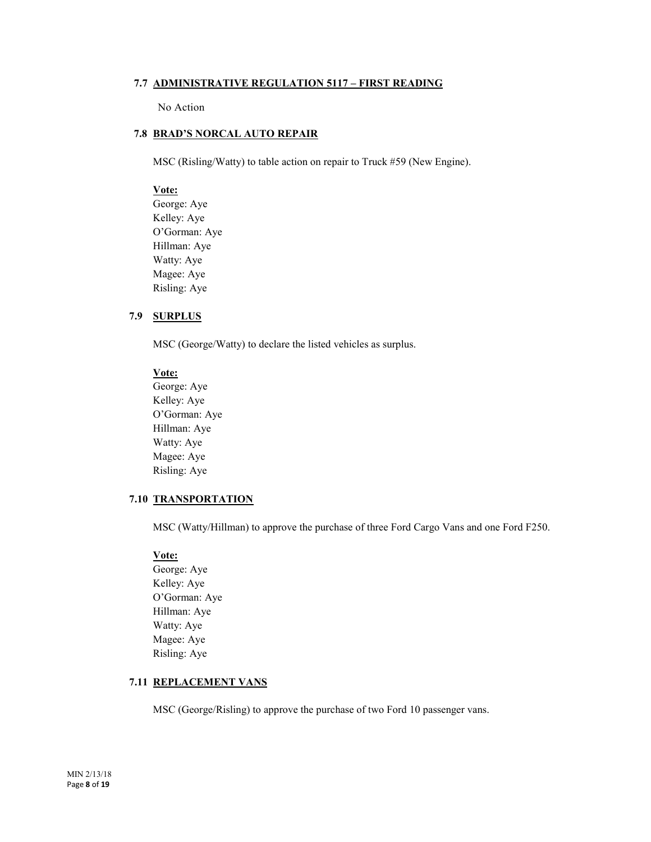# **7.7 ADMINISTRATIVE REGULATION 5117 – FIRST READING**

No Action

# **7.8 BRAD'S NORCAL AUTO REPAIR**

MSC (Risling/Watty) to table action on repair to Truck #59 (New Engine).

# **Vote:**

George: Aye Kelley: Aye O'Gorman: Aye Hillman: Aye Watty: Aye Magee: Aye Risling: Aye

# **7.9 SURPLUS**

MSC (George/Watty) to declare the listed vehicles as surplus.

#### **Vote:**

George: Aye Kelley: Aye O'Gorman: Aye Hillman: Aye Watty: Aye Magee: Aye Risling: Aye

# **7.10 TRANSPORTATION**

MSC (Watty/Hillman) to approve the purchase of three Ford Cargo Vans and one Ford F250.

# **Vote:**

George: Aye Kelley: Aye O'Gorman: Aye Hillman: Aye Watty: Aye Magee: Aye Risling: Aye

#### **7.11 REPLACEMENT VANS**

MSC (George/Risling) to approve the purchase of two Ford 10 passenger vans.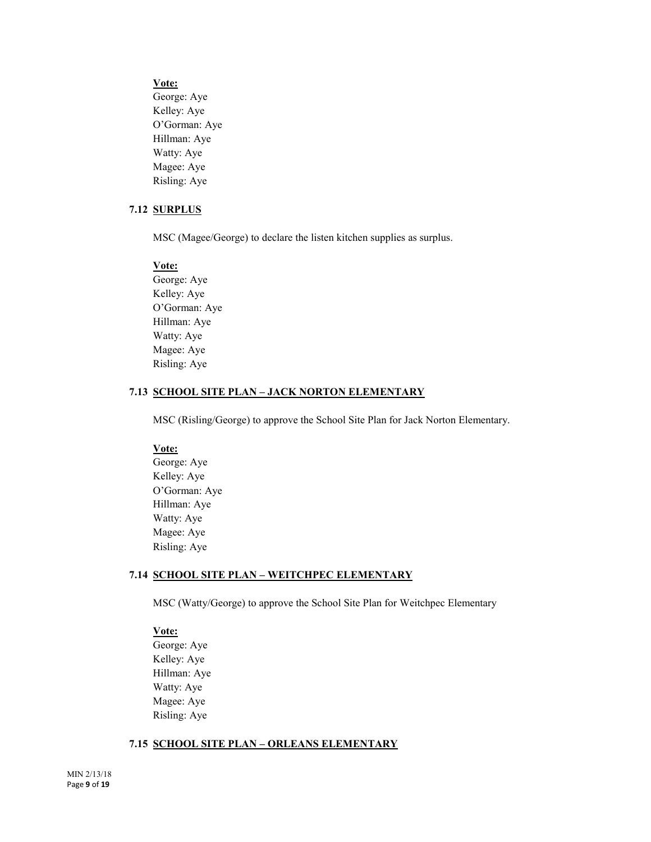#### **Vote:**

George: Aye Kelley: Aye O'Gorman: Aye Hillman: Aye Watty: Aye Magee: Aye Risling: Aye

#### **7.12 SURPLUS**

MSC (Magee/George) to declare the listen kitchen supplies as surplus.

#### **Vote:**

George: Aye Kelley: Aye O'Gorman: Aye Hillman: Aye Watty: Aye Magee: Aye Risling: Aye

# **7.13 SCHOOL SITE PLAN – JACK NORTON ELEMENTARY**

MSC (Risling/George) to approve the School Site Plan for Jack Norton Elementary.

#### **Vote:**

George: Aye Kelley: Aye O'Gorman: Aye Hillman: Aye Watty: Aye Magee: Aye Risling: Aye

# **7.14 SCHOOL SITE PLAN – WEITCHPEC ELEMENTARY**

MSC (Watty/George) to approve the School Site Plan for Weitchpec Elementary

# **Vote:**

George: Aye Kelley: Aye Hillman: Aye Watty: Aye Magee: Aye Risling: Aye

#### **7.15 SCHOOL SITE PLAN – ORLEANS ELEMENTARY**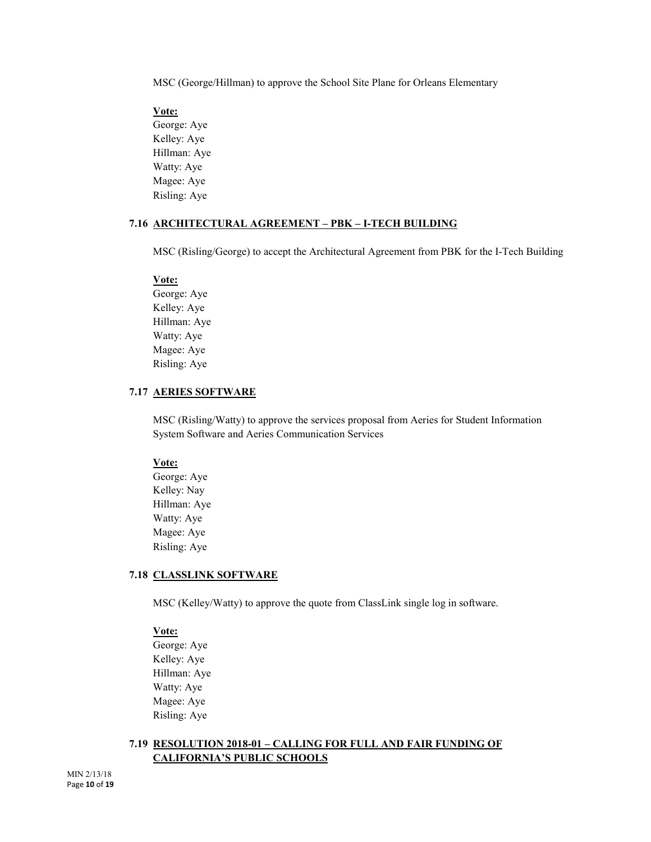MSC (George/Hillman) to approve the School Site Plane for Orleans Elementary

# **Vote:**

George: Aye Kelley: Aye Hillman: Aye Watty: Aye Magee: Aye Risling: Aye

# **7.16 ARCHITECTURAL AGREEMENT – PBK – I-TECH BUILDING**

MSC (Risling/George) to accept the Architectural Agreement from PBK for the I-Tech Building

#### **Vote:**

George: Aye Kelley: Aye Hillman: Aye Watty: Aye Magee: Aye Risling: Aye

# **7.17 AERIES SOFTWARE**

MSC (Risling/Watty) to approve the services proposal from Aeries for Student Information System Software and Aeries Communication Services

# **Vote:**

George: Aye Kelley: Nay Hillman: Aye Watty: Aye Magee: Aye Risling: Aye

#### **7.18 CLASSLINK SOFTWARE**

MSC (Kelley/Watty) to approve the quote from ClassLink single log in software.

# **Vote:**

George: Aye Kelley: Aye Hillman: Aye Watty: Aye Magee: Aye Risling: Aye

# **7.19 RESOLUTION 2018-01 – CALLING FOR FULL AND FAIR FUNDING OF CALIFORNIA'S PUBLIC SCHOOLS**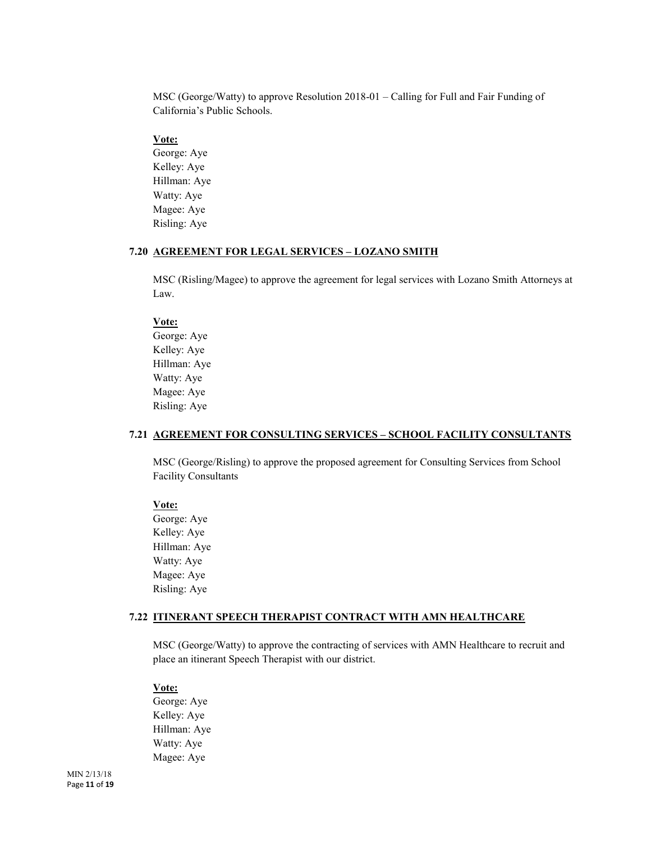MSC (George/Watty) to approve Resolution 2018-01 – Calling for Full and Fair Funding of California's Public Schools.

# **Vote:**

George: Aye Kelley: Aye Hillman: Aye Watty: Aye Magee: Aye Risling: Aye

#### **7.20 AGREEMENT FOR LEGAL SERVICES – LOZANO SMITH**

MSC (Risling/Magee) to approve the agreement for legal services with Lozano Smith Attorneys at Law.

# **Vote:**

George: Aye Kelley: Aye Hillman: Aye Watty: Aye Magee: Aye Risling: Aye

#### **7.21 AGREEMENT FOR CONSULTING SERVICES – SCHOOL FACILITY CONSULTANTS**

MSC (George/Risling) to approve the proposed agreement for Consulting Services from School Facility Consultants

#### **Vote:**

George: Aye Kelley: Aye Hillman: Aye Watty: Aye Magee: Aye Risling: Aye

#### **7.22 ITINERANT SPEECH THERAPIST CONTRACT WITH AMN HEALTHCARE**

MSC (George/Watty) to approve the contracting of services with AMN Healthcare to recruit and place an itinerant Speech Therapist with our district.

#### **Vote:**

George: Aye Kelley: Aye Hillman: Aye Watty: Aye Magee: Aye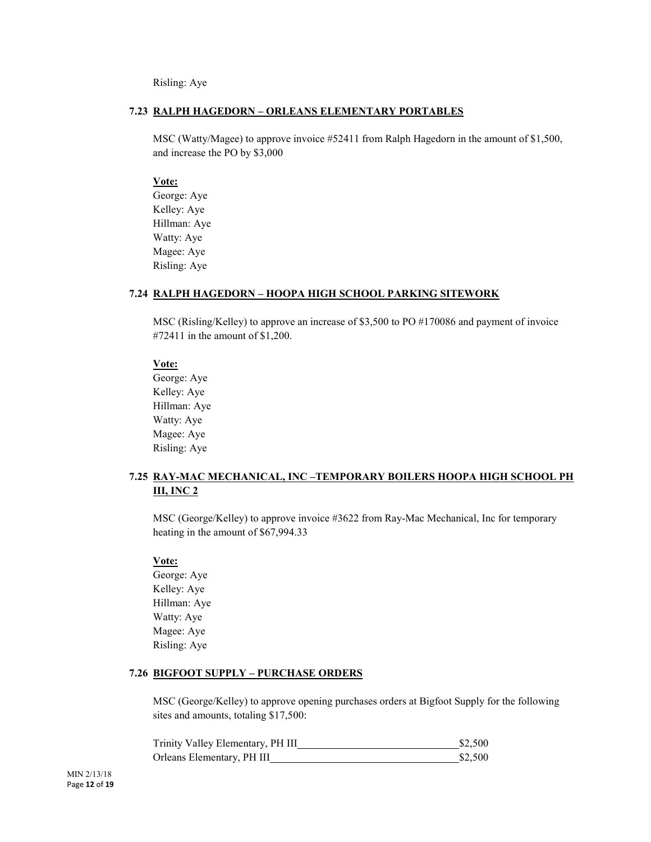Risling: Aye

# **7.23 RALPH HAGEDORN – ORLEANS ELEMENTARY PORTABLES**

MSC (Watty/Magee) to approve invoice #52411 from Ralph Hagedorn in the amount of \$1,500, and increase the PO by \$3,000

# **Vote:**

George: Aye Kelley: Aye Hillman: Aye Watty: Aye Magee: Aye Risling: Aye

#### **7.24 RALPH HAGEDORN – HOOPA HIGH SCHOOL PARKING SITEWORK**

MSC (Risling/Kelley) to approve an increase of \$3,500 to PO #170086 and payment of invoice #72411 in the amount of \$1,200.

#### **Vote:**

George: Aye Kelley: Aye Hillman: Aye Watty: Aye Magee: Aye Risling: Aye

# **7.25 RAY-MAC MECHANICAL, INC –TEMPORARY BOILERS HOOPA HIGH SCHOOL PH III, INC 2**

MSC (George/Kelley) to approve invoice #3622 from Ray-Mac Mechanical, Inc for temporary heating in the amount of \$67,994.33

#### **Vote:**

George: Aye Kelley: Aye Hillman: Aye Watty: Aye Magee: Aye Risling: Aye

# **7.26 BIGFOOT SUPPLY – PURCHASE ORDERS**

MSC (George/Kelley) to approve opening purchases orders at Bigfoot Supply for the following sites and amounts, totaling \$17,500:

| Trinity Valley Elementary, PH III | \$2,500 |
|-----------------------------------|---------|
| Orleans Elementary, PH III        | \$2,500 |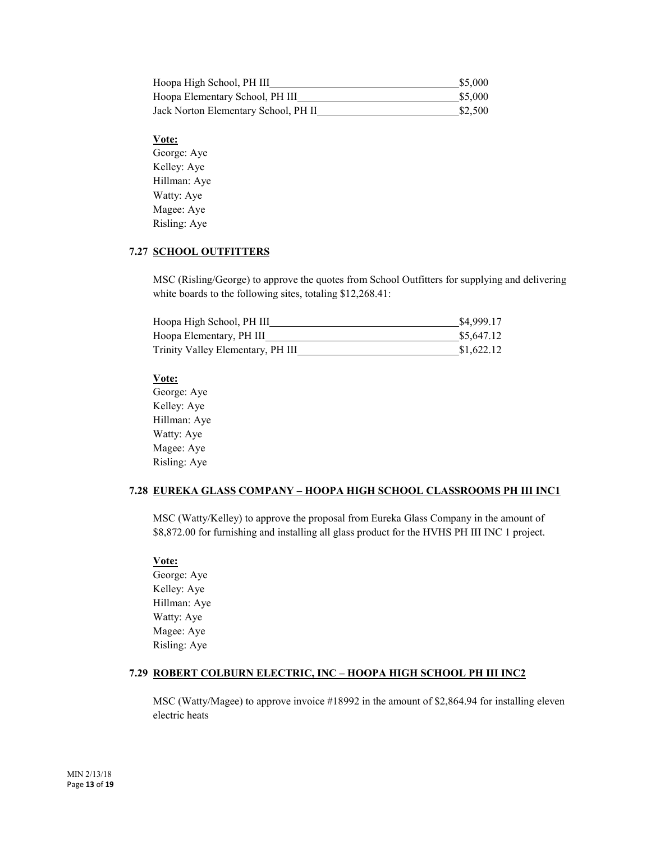| Hoopa High School, PH III            | \$5,000 |
|--------------------------------------|---------|
| Hoopa Elementary School, PH III      | \$5,000 |
| Jack Norton Elementary School, PH II | \$2,500 |

# **Vote:**

George: Aye Kelley: Aye Hillman: Aye Watty: Aye Magee: Aye Risling: Aye

# **7.27 SCHOOL OUTFITTERS**

MSC (Risling/George) to approve the quotes from School Outfitters for supplying and delivering white boards to the following sites, totaling \$12,268.41:

| Hoopa High School, PH III         | \$4,999.17 |
|-----------------------------------|------------|
| Hoopa Elementary, PH III          | \$5,647.12 |
| Trinity Valley Elementary, PH III | \$1,622.12 |

#### **Vote:**

George: Aye Kelley: Aye Hillman: Aye Watty: Aye Magee: Aye Risling: Aye

# **7.28 EUREKA GLASS COMPANY – HOOPA HIGH SCHOOL CLASSROOMS PH III INC1**

MSC (Watty/Kelley) to approve the proposal from Eureka Glass Company in the amount of \$8,872.00 for furnishing and installing all glass product for the HVHS PH III INC 1 project.

#### **Vote:**

George: Aye Kelley: Aye Hillman: Aye Watty: Aye Magee: Aye Risling: Aye

#### **7.29 ROBERT COLBURN ELECTRIC, INC – HOOPA HIGH SCHOOL PH III INC2**

MSC (Watty/Magee) to approve invoice #18992 in the amount of \$2,864.94 for installing eleven electric heats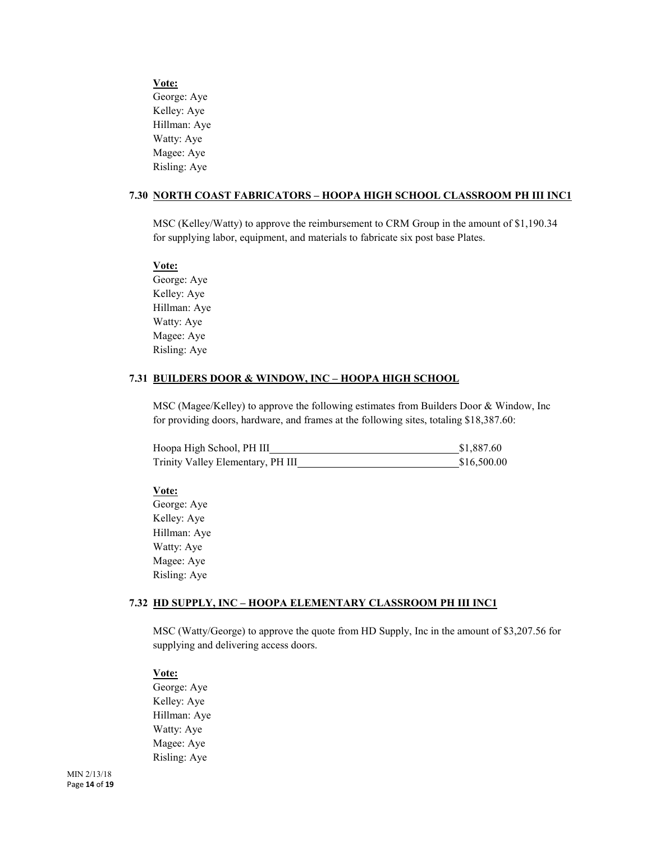**Vote:** George: Aye Kelley: Aye Hillman: Aye Watty: Aye Magee: Aye Risling: Aye

#### **7.30 NORTH COAST FABRICATORS – HOOPA HIGH SCHOOL CLASSROOM PH III INC1**

MSC (Kelley/Watty) to approve the reimbursement to CRM Group in the amount of \$1,190.34 for supplying labor, equipment, and materials to fabricate six post base Plates.

#### **Vote:**

George: Aye Kelley: Aye Hillman: Aye Watty: Aye Magee: Aye Risling: Aye

#### **7.31 BUILDERS DOOR & WINDOW, INC – HOOPA HIGH SCHOOL**

MSC (Magee/Kelley) to approve the following estimates from Builders Door & Window, Inc for providing doors, hardware, and frames at the following sites, totaling \$18,387.60:

| Hoopa High School, PH III         | \$1,887.60  |  |
|-----------------------------------|-------------|--|
| Trinity Valley Elementary, PH III | \$16,500.00 |  |

#### **Vote:**

George: Aye Kelley: Aye Hillman: Aye Watty: Aye Magee: Aye Risling: Aye

#### **7.32 HD SUPPLY, INC – HOOPA ELEMENTARY CLASSROOM PH III INC1**

MSC (Watty/George) to approve the quote from HD Supply, Inc in the amount of \$3,207.56 for supplying and delivering access doors.

**Vote:** George: Aye Kelley: Aye Hillman: Aye Watty: Aye Magee: Aye Risling: Aye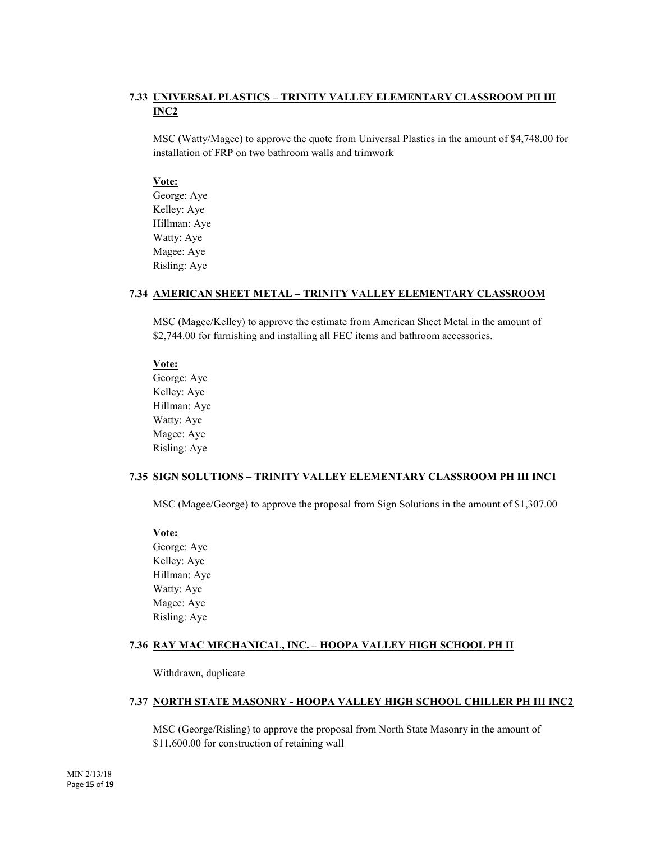# **7.33 UNIVERSAL PLASTICS – TRINITY VALLEY ELEMENTARY CLASSROOM PH III INC2**

MSC (Watty/Magee) to approve the quote from Universal Plastics in the amount of \$4,748.00 for installation of FRP on two bathroom walls and trimwork

# **Vote:**

George: Aye Kelley: Aye Hillman: Aye Watty: Aye Magee: Aye Risling: Aye

# **7.34 AMERICAN SHEET METAL – TRINITY VALLEY ELEMENTARY CLASSROOM**

MSC (Magee/Kelley) to approve the estimate from American Sheet Metal in the amount of \$2,744.00 for furnishing and installing all FEC items and bathroom accessories.

#### **Vote:**

George: Aye Kelley: Aye Hillman: Aye Watty: Aye Magee: Aye Risling: Aye

# **7.35 SIGN SOLUTIONS – TRINITY VALLEY ELEMENTARY CLASSROOM PH III INC1**

MSC (Magee/George) to approve the proposal from Sign Solutions in the amount of \$1,307.00

**Vote:** George: Aye Kelley: Aye Hillman: Aye Watty: Aye Magee: Aye Risling: Aye

# **7.36 RAY MAC MECHANICAL, INC. – HOOPA VALLEY HIGH SCHOOL PH II**

Withdrawn, duplicate

# **7.37 NORTH STATE MASONRY - HOOPA VALLEY HIGH SCHOOL CHILLER PH III INC2**

MSC (George/Risling) to approve the proposal from North State Masonry in the amount of \$11,600.00 for construction of retaining wall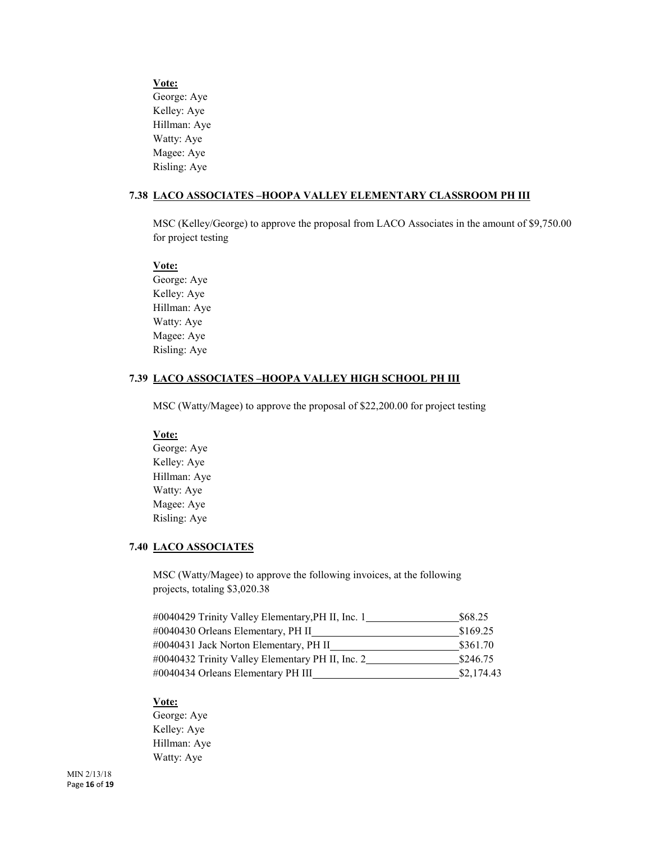**Vote:** George: Aye Kelley: Aye Hillman: Aye Watty: Aye Magee: Aye Risling: Aye

#### **7.38 LACO ASSOCIATES –HOOPA VALLEY ELEMENTARY CLASSROOM PH III**

MSC (Kelley/George) to approve the proposal from LACO Associates in the amount of \$9,750.00 for project testing

#### **Vote:**

George: Aye Kelley: Aye Hillman: Aye Watty: Aye Magee: Aye Risling: Aye

# **7.39 LACO ASSOCIATES –HOOPA VALLEY HIGH SCHOOL PH III**

MSC (Watty/Magee) to approve the proposal of \$22,200.00 for project testing

# **Vote:**

George: Aye Kelley: Aye Hillman: Aye Watty: Aye Magee: Aye Risling: Aye

# **7.40 LACO ASSOCIATES**

MSC (Watty/Magee) to approve the following invoices, at the following projects, totaling \$3,020.38

| #0040429 Trinity Valley Elementary, PH II, Inc. 1 | \$68.25    |
|---------------------------------------------------|------------|
| #0040430 Orleans Elementary, PH II                | \$169.25   |
| #0040431 Jack Norton Elementary, PH II            | \$361.70   |
| #0040432 Trinity Valley Elementary PH II, Inc. 2  | \$246.75   |
| #0040434 Orleans Elementary PH III                | \$2,174.43 |

# **Vote:**

George: Aye Kelley: Aye Hillman: Aye Watty: Aye

MIN 2/13/18 Page **16** of **19**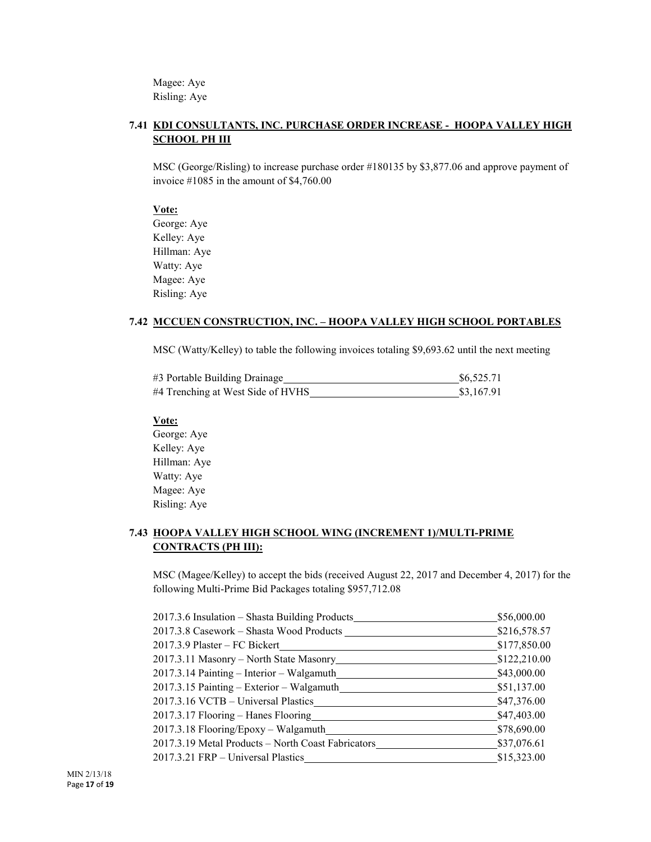Magee: Aye Risling: Aye

# **7.41 KDI CONSULTANTS, INC. PURCHASE ORDER INCREASE - HOOPA VALLEY HIGH SCHOOL PH III**

MSC (George/Risling) to increase purchase order #180135 by \$3,877.06 and approve payment of invoice #1085 in the amount of \$4,760.00

#### **Vote:**

George: Aye Kelley: Aye Hillman: Aye Watty: Aye Magee: Aye Risling: Aye

# **7.42 MCCUEN CONSTRUCTION, INC. – HOOPA VALLEY HIGH SCHOOL PORTABLES**

MSC (Watty/Kelley) to table the following invoices totaling \$9,693.62 until the next meeting

| #3 Portable Building Drainage     | \$6,525.71 |
|-----------------------------------|------------|
| #4 Trenching at West Side of HVHS | \$3,167.91 |

# **Vote:**

George: Aye Kelley: Aye Hillman: Aye Watty: Aye Magee: Aye Risling: Aye

# **7.43 HOOPA VALLEY HIGH SCHOOL WING (INCREMENT 1)/MULTI-PRIME CONTRACTS (PH III):**

MSC (Magee/Kelley) to accept the bids (received August 22, 2017 and December 4, 2017) for the following Multi-Prime Bid Packages totaling \$957,712.08

| 2017.3.6 Insulation - Shasta Building Products     | \$56,000.00  |
|----------------------------------------------------|--------------|
| 2017.3.8 Casework - Shasta Wood Products           | \$216,578.57 |
| 2017.3.9 Plaster - FC Bickert                      | \$177,850.00 |
| 2017.3.11 Masonry – North State Masonry            | \$122,210.00 |
| 2017.3.14 Painting – Interior – Walgamuth          | \$43,000.00  |
| 2017.3.15 Painting – Exterior – Walgamuth          | \$51,137.00  |
| 2017.3.16 VCTB - Universal Plastics                | \$47,376.00  |
| 2017.3.17 Flooring – Hanes Flooring                | \$47,403.00  |
| 2017.3.18 Flooring/Epoxy - Walgamuth               | \$78,690.00  |
| 2017.3.19 Metal Products - North Coast Fabricators | \$37,076.61  |
| 2017.3.21 FRP – Universal Plastics                 | \$15,323.00  |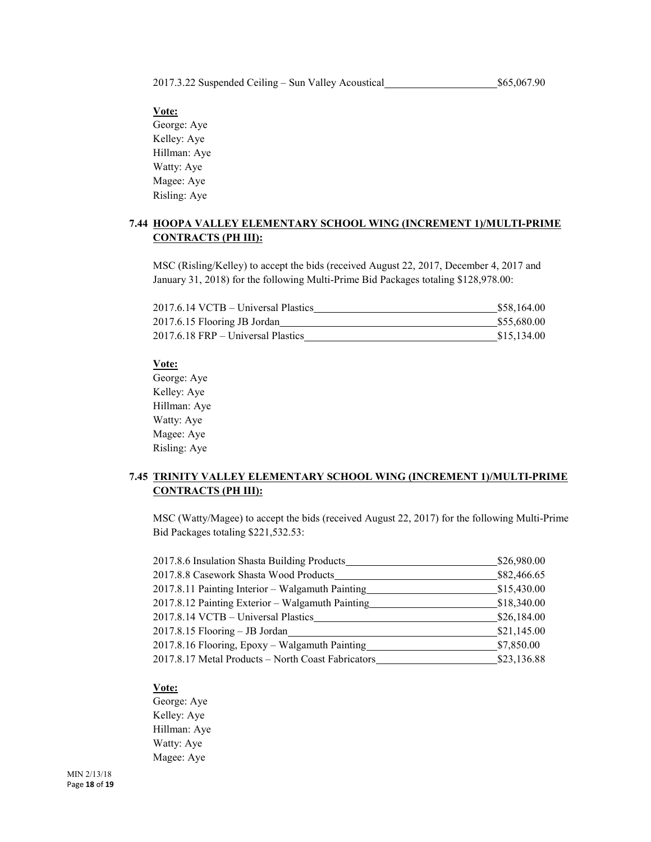2017.3.22 Suspended Ceiling – Sun Valley Acoustical \$65,067.90

# **Vote:**

George: Aye Kelley: Aye Hillman: Aye Watty: Aye Magee: Aye Risling: Aye

# **7.44 HOOPA VALLEY ELEMENTARY SCHOOL WING (INCREMENT 1)/MULTI-PRIME CONTRACTS (PH III):**

MSC (Risling/Kelley) to accept the bids (received August 22, 2017, December 4, 2017 and January 31, 2018) for the following Multi-Prime Bid Packages totaling \$128,978.00:

| 2017.6.14 VCTB – Universal Plastics  | \$58,164.00 |
|--------------------------------------|-------------|
| 2017.6.15 Flooring JB Jordan         | \$55,680.00 |
| $2017.6.18$ FRP – Universal Plastics | \$15,134.00 |

#### **Vote:**

George: Aye Kelley: Aye Hillman: Aye Watty: Aye Magee: Aye Risling: Aye

# **7.45 TRINITY VALLEY ELEMENTARY SCHOOL WING (INCREMENT 1)/MULTI-PRIME CONTRACTS (PH III):**

MSC (Watty/Magee) to accept the bids (received August 22, 2017) for the following Multi-Prime Bid Packages totaling \$221,532.53:

| 2017.8.6 Insulation Shasta Building Products       | \$26,980.00 |
|----------------------------------------------------|-------------|
| 2017.8.8 Casework Shasta Wood Products             | \$82,466.65 |
| 2017.8.11 Painting Interior - Walgamuth Painting   | \$15,430.00 |
| 2017.8.12 Painting Exterior - Walgamuth Painting   | \$18,340.00 |
| 2017.8.14 VCTB - Universal Plastics                | \$26,184.00 |
| 2017.8.15 Flooring - JB Jordan                     | \$21,145.00 |
| 2017.8.16 Flooring, Epoxy - Walgamuth Painting     | \$7,850.00  |
| 2017.8.17 Metal Products - North Coast Fabricators | \$23,136.88 |

#### **Vote:**

George: Aye Kelley: Aye Hillman: Aye Watty: Aye Magee: Aye